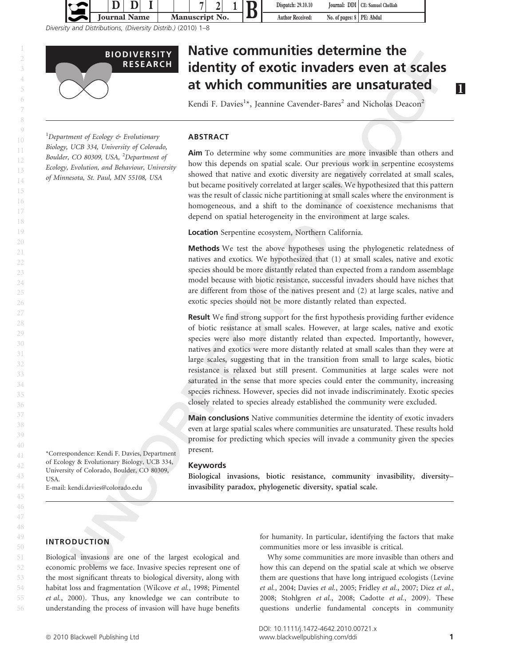

Diversity and Distributions, (Diversity Distrib.) (2010) 1–8



# Native communities determine the identity of exotic invaders even at scales at which communities are unsaturated  $\blacksquare$

Kendi F. Davies<sup>1</sup>\*, Jeannine Cavender-Bares<sup>2</sup> and Nicholas Deacon<sup>2</sup>

<sup>1</sup>Department of Ecology  $\&$  Evolutionary Biology, UCB 334, University of Colorado, Boulder, CO 80309, USA, <sup>2</sup>Department of Ecology, Evolution, and Behaviour, University of Minnesota, St. Paul, MN 55108, USA

### ABSTRACT

Aim To determine why some communities are more invasible than others and how this depends on spatial scale. Our previous work in serpentine ecosystems showed that native and exotic diversity are negatively correlated at small scales, but became positively correlated at larger scales. We hypothesized that this pattern was the result of classic niche partitioning at small scales where the environment is homogeneous, and a shift to the dominance of coexistence mechanisms that depend on spatial heterogeneity in the environment at large scales.

Location Serpentine ecosystem, Northern California.

Methods We test the above hypotheses using the phylogenetic relatedness of natives and exotics. We hypothesized that (1) at small scales, native and exotic species should be more distantly related than expected from a random assemblage model because with biotic resistance, successful invaders should have niches that are different from those of the natives present and (2) at large scales, native and exotic species should not be more distantly related than expected.

Result We find strong support for the first hypothesis providing further evidence of biotic resistance at small scales. However, at large scales, native and exotic species were also more distantly related than expected. Importantly, however, natives and exotics were more distantly related at small scales than they were at large scales, suggesting that in the transition from small to large scales, biotic resistance is relaxed but still present. Communities at large scales were not saturated in the sense that more species could enter the community, increasing species richness. However, species did not invade indiscriminately. Exotic species closely related to species already established the community were excluded.

Main conclusions Native communities determine the identity of exotic invaders even at large spatial scales where communities are unsaturated. These results hold promise for predicting which species will invade a community given the species present.

#### Keywords

Biological invasions, biotic resistance, community invasibility, diversity– invasibility paradox, phylogenetic diversity, spatial scale.

\*Correspondence: Kendi F. Davies, Department of Ecology & Evolutionary Biology, UCB 334, University of Colorado, Boulder, CO 80309, **TISA** E-mail: kendi.davies@colorado.edu

## INTRODUCTION

Biological invasions are one of the largest ecological and economic problems we face. Invasive species represent one of the most significant threats to biological diversity, along with habitat loss and fragmentation (Wilcove et al., 1998; Pimentel et al., 2000). Thus, any knowledge we can contribute to understanding the process of invasion will have huge benefits

for humanity. In particular, identifying the factors that make communities more or less invasible is critical.

Why some communities are more invasible than others and how this can depend on the spatial scale at which we observe them are questions that have long intrigued ecologists (Levine et al., 2004; Davies et al., 2005; Fridley et al., 2007; Diez et al., 2008; Stohlgren et al., 2008; Cadotte et al., 2009). These questions underlie fundamental concepts in community

1 2

6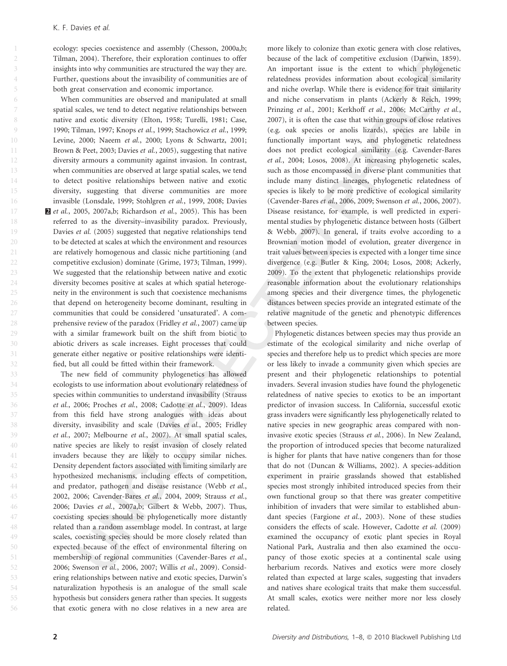8  $\circ$ 

ecology: species coexistence and assembly (Chesson, 2000a,b; Tilman, 2004). Therefore, their exploration continues to offer insights into why communities are structured the way they are. Further, questions about the invasibility of communities are of both great conservation and economic importance.

When communities are observed and manipulated at small spatial scales, we tend to detect negative relationships between native and exotic diversity (Elton, 1958; Turelli, 1981; Case, 1990; Tilman, 1997; Knops et al., 1999; Stachowicz et al., 1999; Levine, 2000; Naeem et al., 2000; Lyons & Schwartz, 2001; Brown & Peet, 2003; Davies *et al.*, 2005), suggesting that native diversity armours a community against invasion. In contrast, when communities are observed at large spatial scales, we tend to detect positive relationships between native and exotic diversity, suggesting that diverse communities are more invasible (Lonsdale, 1999; Stohlgren et al., 1999, 2008; Davies 2 et al., 2005, 2007a,b; Richardson et al., 2005). This has been referred to as the diversity–invasibility paradox. Previously, Davies et al. (2005) suggested that negative relationships tend to be detected at scales at which the environment and resources are relatively homogenous and classic niche partitioning (and competitive exclusion) dominate (Grime, 1973; Tilman, 1999). We suggested that the relationship between native and exotic diversity becomes positive at scales at which spatial heterogeneity in the environment is such that coexistence mechanisms that depend on heterogeneity become dominant, resulting in communities that could be considered 'unsaturated'. A comprehensive review of the paradox (Fridley et al., 2007) came up with a similar framework built on the shift from biotic to abiotic drivers as scale increases. Eight processes that could generate either negative or positive relationships were identified, but all could be fitted within their framework.

The new field of community phylogenetics has allowed ecologists to use information about evolutionary relatedness of species within communities to understand invasibility (Strauss et al., 2006; Proches et al., 2008; Cadotte et al., 2009). Ideas from this field have strong analogues with ideas about diversity, invasibility and scale (Davies et al., 2005; Fridley et al., 2007; Melbourne et al., 2007). At small spatial scales, native species are likely to resist invasion of closely related invaders because they are likely to occupy similar niches. Density dependent factors associated with limiting similarly are hypothesized mechanisms, including effects of competition, and predator, pathogen and disease resistance (Webb et al., 2002, 2006; Cavender-Bares et al., 2004, 2009; Strauss et al., 2006; Davies et al., 2007a,b; Gilbert & Webb, 2007). Thus, coexisting species should be phylogenetically more distantly related than a random assemblage model. In contrast, at large scales, coexisting species should be more closely related than expected because of the effect of environmental filtering on membership of regional communities (Cavender-Bares et al., 2006; Swenson et al., 2006, 2007; Willis et al., 2009). Considering relationships between native and exotic species, Darwin's naturalization hypothesis is an analogue of the small scale hypothesis but considers genera rather than species. It suggests that exotic genera with no close relatives in a new area are

more likely to colonize than exotic genera with close relatives, because of the lack of competitive exclusion (Darwin, 1859). An important issue is the extent to which phylogenetic relatedness provides information about ecological similarity and niche overlap. While there is evidence for trait similarity and niche conservatism in plants (Ackerly & Reich, 1999; Prinzing et al., 2001; Kerkhoff et al., 2006; McCarthy et al., 2007), it is often the case that within groups of close relatives (e.g. oak species or anolis lizards), species are labile in functionally important ways, and phylogenetic relatedness does not predict ecological similarity (e.g. Cavender-Bares et al., 2004; Losos, 2008). At increasing phylogenetic scales, such as those encompassed in diverse plant communities that include many distinct lineages, phylogenetic relatedness of species is likely to be more predictive of ecological similarity (Cavender-Bares et al., 2006, 2009; Swenson et al., 2006, 2007). Disease resistance, for example, is well predicted in experimental studies by phylogenetic distance between hosts (Gilbert & Webb, 2007). In general, if traits evolve according to a Brownian motion model of evolution, greater divergence in trait values between species is expected with a longer time since divergence (e.g. Butler & King, 2004; Losos, 2008; Ackerly, 2009). To the extent that phylogenetic relationships provide reasonable information about the evolutionary relationships among species and their divergence times, the phylogenetic distances between species provide an integrated estimate of the relative magnitude of the genetic and phenotypic differences between species.

Phylogenetic distances between species may thus provide an estimate of the ecological similarity and niche overlap of species and therefore help us to predict which species are more or less likely to invade a community given which species are present and their phylogenetic relationships to potential invaders. Several invasion studies have found the phylogenetic relatedness of native species to exotics to be an important predictor of invasion success. In California, successful exotic grass invaders were significantly less phylogenetically related to native species in new geographic areas compared with noninvasive exotic species (Strauss et al., 2006). In New Zealand, the proportion of introduced species that become naturalized is higher for plants that have native congeners than for those that do not (Duncan & Williams, 2002). A species-addition experiment in prairie grasslands showed that established species most strongly inhibited introduced species from their own functional group so that there was greater competitive inhibition of invaders that were similar to established abundant species (Fargione et al., 2003). None of these studies considers the effects of scale. However, Cadotte et al. (2009) examined the occupancy of exotic plant species in Royal National Park, Australia and then also examined the occupancy of those exotic species at a continental scale using herbarium records. Natives and exotics were more closely related than expected at large scales, suggesting that invaders and natives share ecological traits that make them successful. At small scales, exotics were neither more nor less closely related.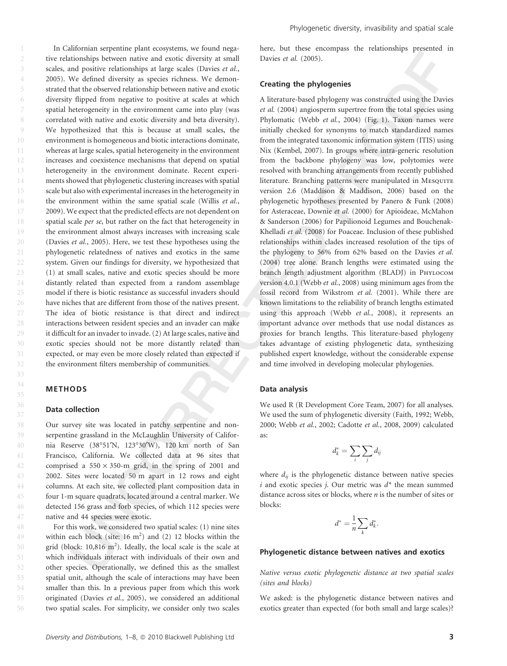In Californian serpentine plant ecosystems, we found negative relationships between native and exotic diversity at small scales, and positive relationships at large scales (Davies et al., 2005). We defined diversity as species richness. We demonstrated that the observed relationship between native and exotic diversity flipped from negative to positive at scales at which spatial heterogeneity in the environment came into play (was correlated with native and exotic diversity and beta diversity). We hypothesized that this is because at small scales, the environment is homogeneous and biotic interactions dominate, whereas at large scales, spatial heterogeneity in the environment increases and coexistence mechanisms that depend on spatial heterogeneity in the environment dominate. Recent experiments showed that phylogenetic clustering increases with spatial scale but also with experimental increases in the heterogeneity in the environment within the same spatial scale (Willis et al., 2009). We expect that the predicted effects are not dependent on spatial scale per se, but rather on the fact that heterogeneity in the environment almost always increases with increasing scale (Davies et al., 2005). Here, we test these hypotheses using the phylogenetic relatedness of natives and exotics in the same system. Given our findings for diversity, we hypothesized that (1) at small scales, native and exotic species should be more distantly related than expected from a random assemblage model if there is biotic resistance as successful invaders should have niches that are different from those of the natives present. The idea of biotic resistance is that direct and indirect interactions between resident species and an invader can make it difficult for an invader to invade. (2) At large scales, native and exotic species should not be more distantly related than expected, or may even be more closely related than expected if the environment filters membership of communities.

#### METHODS

#### Data collection

Our survey site was located in patchy serpentine and nonserpentine grassland in the McLaughlin University of California Reserve (38°51'N, 123°30'W), 120 km north of San Francisco, California. We collected data at 96 sites that comprised a 550  $\times$  350-m grid, in the spring of 2001 and 2002. Sites were located 50 m apart in 12 rows and eight columns. At each site, we collected plant composition data in four 1-m square quadrats, located around a central marker. We detected 156 grass and forb species, of which 112 species were native and 44 species were exotic.

For this work, we considered two spatial scales: (1) nine sites within each block (site:  $16 \text{ m}^2$ ) and (2) 12 blocks within the grid (block:  $10,816 \text{ m}^2$ ). Ideally, the local scale is the scale at which individuals interact with individuals of their own and other species. Operationally, we defined this as the smallest spatial unit, although the scale of interactions may have been smaller than this. In a previous paper from which this work originated (Davies et al., 2005), we considered an additional two spatial scales. For simplicity, we consider only two scales here, but these encompass the relationships presented in Davies et al. (2005).

#### Creating the phylogenies

A literature-based phylogeny was constructed using the Davies et al. (2004) angiosperm supertree from the total species using Phylomatic (Webb et al., 2004) (Fig. 1). Taxon names were initially checked for synonyms to match standardized names from the integrated taxonomic information system (ITIS) using Nix (Kembel, 2007). In groups where intra-generic resolution from the backbone phylogeny was low, polytomies were resolved with branching arrangements from recently published literature. Branching patterns were manipulated in MESQUITE version 2.6 (Maddison & Maddison, 2006) based on the phylogenetic hypotheses presented by Panero & Funk (2008) for Asteraceae, Downie et al. (2000) for Apioideae, McMahon & Sanderson (2006) for Papilionoid Legumes and Bouchenak-Khelladi et al. (2008) for Poaceae. Inclusion of these published relationships within clades increased resolution of the tips of the phylogeny to 56% from 62% based on the Davies et al. (2004) tree alone. Branch lengths were estimated using the branch length adjustment algorithm (BLADJ) in Phylocom version 4.0.1 (Webb et al., 2008) using minimum ages from the fossil record from Wikstrom et al. (2001). While there are known limitations to the reliability of branch lengths estimated using this approach (Webb et al., 2008), it represents an important advance over methods that use nodal distances as proxies for branch lengths. This literature-based phylogeny takes advantage of existing phylogenetic data, synthesizing published expert knowledge, without the considerable expense and time involved in developing molecular phylogenies.

#### Data analysis

We used R (R Development Core Team, 2007) for all analyses. We used the sum of phylogenetic diversity (Faith, 1992; Webb, 2000; Webb et al., 2002; Cadotte et al., 2008, 2009) calculated as:

$$
d_k^* = \sum_i \sum_j d_{ij}
$$

where  $d_{ii}$  is the phylogenetic distance between native species i and exotic species j. Our metric was  $d^*$  the mean summed distance across sites or blocks, where  $n$  is the number of sites or blocks:

$$
d^* = \frac{1}{n} \sum_k d_k^*.
$$

#### Phylogenetic distance between natives and exotics

Native versus exotic phylogenetic distance at two spatial scales (sites and blocks)

We asked: is the phylogenetic distance between natives and exotics greater than expected (for both small and large scales)?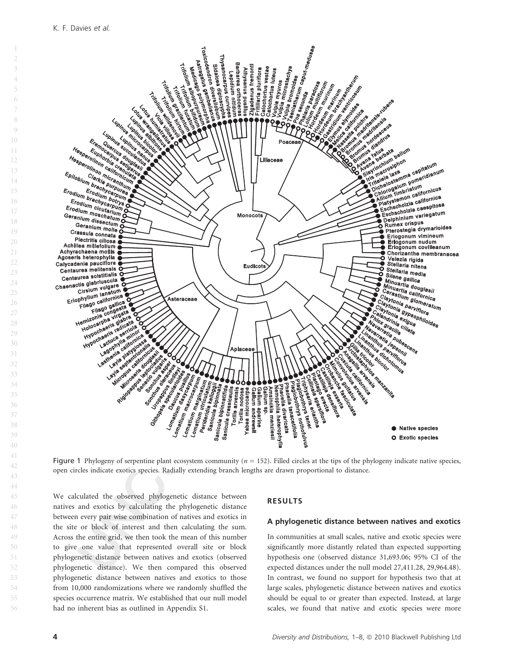1 2

4

6

8

15 16 17

23 24

27

32

37

49

51



Figure 1 Phylogeny of serpentine plant ecosystem community ( $n = 152$ ). Filled circles at the tips of the phylogeny indicate native species, open circles indicate exotics species. Radially extending branch lengths are drawn proportional to distance.

We calculated the observed phylogenetic distance between natives and exotics by calculating the phylogenetic distance between every pair wise combination of natives and exotics in the site or block of interest and then calculating the sum. Across the entire grid, we then took the mean of this number to give one value that represented overall site or block phylogenetic distance between natives and exotics (observed phylogenetic distance). We then compared this observed phylogenetic distance between natives and exotics to those from 10,000 randomizations where we randomly shuffled the species occurrence matrix. We established that our null model had no inherent bias as outlined in Appendix S1.

#### RESULTS

#### A phylogenetic distance between natives and exotics

In communities at small scales, native and exotic species were significantly more distantly related than expected supporting hypothesis one (observed distance 31,693.06; 95% CI of the expected distances under the null model 27,411.28, 29,964.48). In contrast, we found no support for hypothesis two that at large scales, phylogenetic distance between natives and exotics should be equal to or greater than expected. Instead, at large scales, we found that native and exotic species were more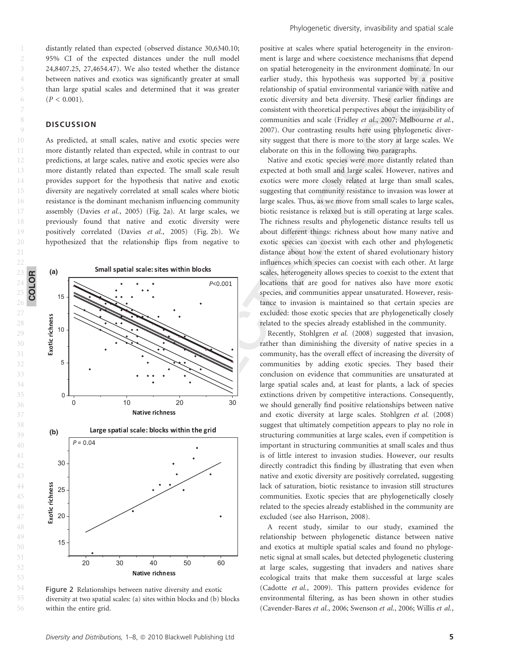distantly related than expected (observed distance 30,6340.10; 95% CI of the expected distances under the null model 24,8407.25, 27,4654.47). We also tested whether the distance between natives and exotics was significantly greater at small than large spatial scales and determined that it was greater  $(P < 0.001)$ .

#### **DISCUSSION**

As predicted, at small scales, native and exotic species were more distantly related than expected, while in contrast to our predictions, at large scales, native and exotic species were also more distantly related than expected. The small scale result provides support for the hypothesis that native and exotic diversity are negatively correlated at small scales where biotic resistance is the dominant mechanism influencing community assembly (Davies et al., 2005) (Fig. 2a). At large scales, we previously found that native and exotic diversity were positively correlated (Davies et al., 2005) (Fig. 2b). We hypothesized that the relationship flips from negative to



Figure 2 Relationships between native diversity and exotic diversity at two spatial scales: (a) sites within blocks and (b) blocks within the entire grid.

positive at scales where spatial heterogeneity in the environment is large and where coexistence mechanisms that depend on spatial heterogeneity in the environment dominate. In our earlier study, this hypothesis was supported by a positive relationship of spatial environmental variance with native and exotic diversity and beta diversity. These earlier findings are consistent with theoretical perspectives about the invasibility of communities and scale (Fridley et al., 2007; Melbourne et al., 2007). Our contrasting results here using phylogenetic diversity suggest that there is more to the story at large scales. We elaborate on this in the following two paragraphs.

Native and exotic species were more distantly related than expected at both small and large scales. However, natives and exotics were more closely related at large than small scales, suggesting that community resistance to invasion was lower at large scales. Thus, as we move from small scales to large scales, biotic resistance is relaxed but is still operating at large scales. The richness results and phylogenetic distance results tell us about different things: richness about how many native and exotic species can coexist with each other and phylogenetic distance about how the extent of shared evolutionary history influences which species can coexist with each other. At large scales, heterogeneity allows species to coexist to the extent that locations that are good for natives also have more exotic species, and communities appear unsaturated. However, resistance to invasion is maintained so that certain species are excluded: those exotic species that are phylogenetically closely related to the species already established in the community.

Recently, Stohlgren et al. (2008) suggested that invasion, rather than diminishing the diversity of native species in a community, has the overall effect of increasing the diversity of communities by adding exotic species. They based their conclusion on evidence that communities are unsaturated at large spatial scales and, at least for plants, a lack of species extinctions driven by competitive interactions. Consequently, we should generally find positive relationships between native and exotic diversity at large scales. Stohlgren et al. (2008) suggest that ultimately competition appears to play no role in structuring communities at large scales, even if competition is important in structuring communities at small scales and thus is of little interest to invasion studies. However, our results directly contradict this finding by illustrating that even when native and exotic diversity are positively correlated, suggesting lack of saturation, biotic resistance to invasion still structures communities. Exotic species that are phylogenetically closely related to the species already established in the community are excluded (see also Harrison, 2008).

A recent study, similar to our study, examined the relationship between phylogenetic distance between native and exotics at multiple spatial scales and found no phylogenetic signal at small scales, but detected phylogenetic clustering at large scales, suggesting that invaders and natives share ecological traits that make them successful at large scales (Cadotte et al., 2009). This pattern provides evidence for environmental filtering, as has been shown in other studies (Cavender-Bares et al., 2006; Swenson et al., 2006; Willis et al.,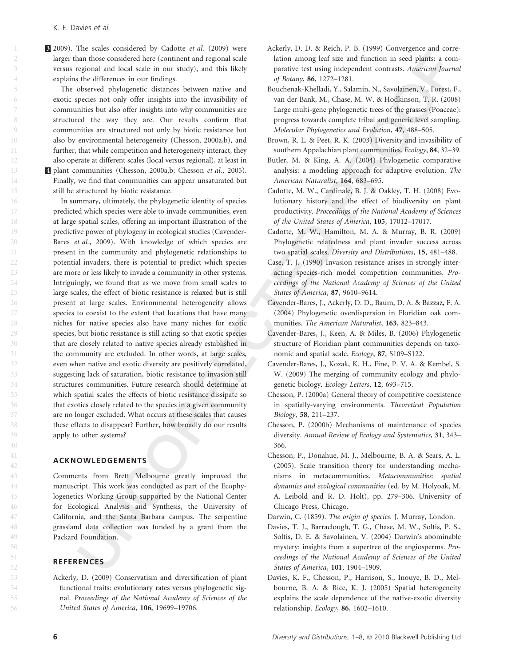**3** 2009). The scales considered by Cadotte et al. (2009) were larger than those considered here (continent and regional scale versus regional and local scale in our study), and this likely explains the differences in our findings.

The observed phylogenetic distances between native and exotic species not only offer insights into the invasibility of communities but also offer insights into why communities are structured the way they are. Our results confirm that communities are structured not only by biotic resistance but also by environmental heterogeneity (Chesson, 2000a,b), and further, that while competition and heterogeneity interact, they also operate at different scales (local versus regional), at least in

4 plant communities (Chesson, 2000a,b; Chesson et al., 2005). Finally, we find that communities can appear unsaturated but still be structured by biotic resistance.

In summary, ultimately, the phylogenetic identity of species predicted which species were able to invade communities, even at large spatial scales, offering an important illustration of the predictive power of phylogeny in ecological studies (Cavender-Bares et al., 2009). With knowledge of which species are present in the community and phylogenetic relationships to potential invaders, there is potential to predict which species are more or less likely to invade a community in other systems. Intriguingly, we found that as we move from small scales to large scales, the effect of biotic resistance is relaxed but is still present at large scales. Environmental heterogeneity allows species to coexist to the extent that locations that have many niches for native species also have many niches for exotic species, but biotic resistance is still acting so that exotic species that are closely related to native species already established in the community are excluded. In other words, at large scales, even when native and exotic diversity are positively correlated, suggesting lack of saturation, biotic resistance to invasion still structures communities. Future research should determine at which spatial scales the effects of biotic resistance dissipate so that exotics closely related to the species in a given community are no longer excluded. What occurs at these scales that causes these effects to disappear? Further, how broadly do our results apply to other systems?

#### ACKNOWLEDGEMENTS

Comments from Brett Melbourne greatly improved the manuscript. This work was conducted as part of the Ecophylogenetics Working Group supported by the National Center for Ecological Analysis and Synthesis, the University of California, and the Santa Barbara campus. The serpentine grassland data collection was funded by a grant from the Packard Foundation.

#### **REFERENCES**

Ackerly, D. (2009) Conservatism and diversification of plant functional traits: evolutionary rates versus phylogenetic signal. Proceedings of the National Academy of Sciences of the United States of America, 106, 19699–19706.

- Ackerly, D. D. & Reich, P. B. (1999) Convergence and correlation among leaf size and function in seed plants: a comparative test using independent contrasts. American Journal of Botany, 86, 1272–1281.
- Bouchenak-Khelladi, Y., Salamin, N., Savolainen, V., Forest, F., van der Bank, M., Chase, M. W. & Hodkinson, T. R. (2008) Large multi-gene phylogenetic trees of the grasses (Poaceae): progress towards complete tribal and generic level sampling. Molecular Phylogenetics and Evolution, 47, 488–505.
- Brown, R. L. & Peet, R. K. (2003) Diversity and invasibility of southern Appalachian plant communities. Ecology, 84, 32–39.
- Butler, M. & King, A. A. (2004) Phylogenetic comparative analysis: a modeling approach for adaptive evolution. The American Naturalist, 164, 683–695.
- Cadotte, M. W., Cardinale, B. J. & Oakley, T. H. (2008) Evolutionary history and the effect of biodiversity on plant productivity. Proceedings of the National Academy of Sciences of the United States of America, 105, 17012–17017.
- Cadotte, M. W., Hamilton, M. A. & Murray, B. R. (2009) Phylogenetic relatedness and plant invader success across two spatial scales. Diversity and Distributions, 15, 481–488.
- Case, T. J. (1990) Invasion resistance arises in strongly interacting species-rich model competition communities. Proceedings of the National Academy of Sciences of the United States of America, 87, 9610–9614.
- Cavender-Bares, J., Ackerly, D. D., Baum, D. A. & Bazzaz, F. A. (2004) Phylogenetic overdispersion in Floridian oak communities. The American Naturalist, 163, 823–843.
- Cavender-Bares, J., Keen, A. & Miles, B. (2006) Phylogenetic structure of Floridian plant communities depends on taxonomic and spatial scale. Ecology, 87, S109–S122.
- Cavender-Bares, J., Kozak, K. H., Fine, P. V. A. & Kembel, S. W. (2009) The merging of community ecology and phylogenetic biology. Ecology Letters, 12, 693–715.
- Chesson, P. (2000a) General theory of competitive coexistence in spatially-varying environments. Theoretical Population Biology, 58, 211–237.
- Chesson, P. (2000b) Mechanisms of maintenance of species diversity. Annual Review of Ecology and Systematics, 31, 343– 366.
- Chesson, P., Donahue, M. J., Melbourne, B. A. & Sears, A. L. (2005). Scale transition theory for understanding mechanisms in metacommunities. Metacommunities: spatial dynamics and ecological communities (ed. by M. Holyoak, M. A. Leibold and R. D. Holt), pp. 279–306. University of Chicago Press, Chicago.
- Darwin, C. (1859). The origin of species. J. Murray, London.
- Davies, T. J., Barraclough, T. G., Chase, M. W., Soltis, P. S., Soltis, D. E. & Savolainen, V. (2004) Darwin's abominable mystery: insights from a supertree of the angiosperms. Proceedings of the National Academy of Sciences of the United States of America, 101, 1904–1909.
- Davies, K. F., Chesson, P., Harrison, S., Inouye, B. D., Melbourne, B. A. & Rice, K. J. (2005) Spatial heterogeneity explains the scale dependence of the native-exotic diversity relationship. Ecology, 86, 1602–1610.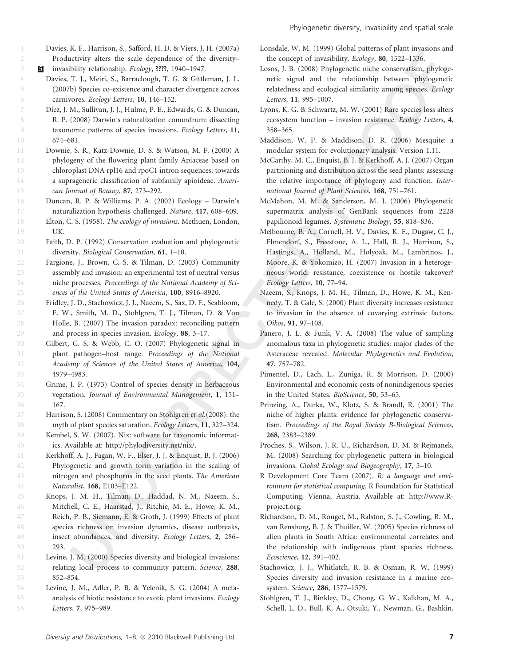Davies, K. F., Harrison, S., Safford, H. D. & Viers, J. H. (2007a) Productivity alters the scale dependence of the diversity– 5 invasibility relationship. Ecology, ????, 1940–1947.

- Davies, T. J., Meiri, S., Barraclough, T. G. & Gittleman, J. L. (2007b) Species co-existence and character divergence across carnivores. Ecology Letters, 10, 146–152.
- Diez, J. M., Sullivan, J. J., Hulme, P. E., Edwards, G. & Duncan, R. P. (2008) Darwin's naturalization conundrum: dissecting taxonomic patterns of species invasions. Ecology Letters, 11, 674–681.
- Downie, S. R., Katz-Downie, D. S. & Watson, M. F. (2000) A phylogeny of the flowering plant family Apiaceae based on chloroplast DNA rpl16 and rpoC1 intron sequences: towards a suprageneric classification of subfamily apioideae. American Journal of Botany, 87, 273–292.
- Duncan, R. P. & Williams, P. A. (2002) Ecology Darwin's naturalization hypothesis challenged. Nature, 417, 608–609.
- Elton, C. S. (1958). The ecology of invasions. Methuen, London, UK.
- Faith, D. P. (1992) Conservation evaluation and phylogenetic diversity. Biological Conservation, 61, 1–10.
- Fargione, J., Brown, C. S. & Tilman, D. (2003) Community assembly and invasion: an experimental test of neutral versus niche processes. Proceedings of the National Academy of Sciences of the United States of America, 100, 8916–8920.
- Fridley, J. D., Stachowicz, J. J., Naeem, S., Sax, D. F., Seabloom, E. W., Smith, M. D., Stohlgren, T. J., Tilman, D. & Von Holle, B. (2007) The invasion paradox: reconciling pattern and process in species invasion. Ecology, 88, 3–17.
- Gilbert, G. S. & Webb, C. O. (2007) Phylogenetic signal in plant pathogen–host range. Proceedings of the National Academy of Sciences of the United States of America, 104, 4979–4983.
- Grime, J. P. (1973) Control of species density in herbaceous vegetation. Journal of Environmental Management, 1, 151– 167.
- Harrison, S. (2008) Commentary on Stohlgren et al.(2008): the myth of plant species saturation. Ecology Letters, 11, 322–324.
- Kembel, S. W. (2007). Nix: software for taxonomic informatics. Available at: http://phylodiversity.net/nix/.
- Kerkhoff, A. J., Fagan, W. F., Elser, J. J. & Enquist, B. J. (2006) Phylogenetic and growth form variation in the scaling of nitrogen and phosphorus in the seed plants. The American Naturalist, 168, E103–E122.
- Knops, J. M. H., Tilman, D., Haddad, N. M., Naeem, S., Mitchell, C. E., Haarstad, J., Ritchie, M. E., Howe, K. M., Reich, P. B., Siemann, E. & Groth, J. (1999) Effects of plant species richness on invasion dynamics, disease outbreaks, insect abundances, and diversity. Ecology Letters, 2, 286– 293.
- Levine, J. M. (2000) Species diversity and biological invasions: relating local process to community pattern. Science, 288, 852–854.
- Levine, J. M., Adler, P. B. & Yelenik, S. G. (2004) A metaanalysis of biotic resistance to exotic plant invasions. Ecology Letters, 7, 975–989.
- Lonsdale, W. M. (1999) Global patterns of plant invasions and the concept of invasibility. Ecology, 80, 1522–1536.
- Losos, J. B. (2008) Phylogenetic niche conservatism, phylogenetic signal and the relationship between phylogenetic relatedness and ecological similarity among species. Ecology Letters, 11, 995–1007.
- Lyons, K. G. & Schwartz, M. W. (2001) Rare species loss alters ecosystem function – invasion resistance. Ecology Letters, 4, 358–365.
- Maddison, W. P. & Maddison, D. R. (2006) Mesquite: a modular system for evolutionary analysis. Version 1.11.
- McCarthy, M. C., Enquist, B. J. & Kerkhoff, A. J. (2007) Organ partitioning and distribution across the seed plants: assessing the relative importance of phylogeny and function. International Journal of Plant Sciences, 168, 751–761.
- McMahon, M. M. & Sanderson, M. J. (2006) Phylogenetic supermatrix analysis of GenBank sequences from 2228 papilionoid legumes. Systematic Biology, 55, 818–836.
- Melbourne, B. A., Cornell, H. V., Davies, K. F., Dugaw, C. J., Elmendorf, S., Freestone, A. L., Hall, R. J., Harrison, S., Hastings, A., Holland, M., Holyoak, M., Lambrinos, J., Moore, K. & Yokomizo, H. (2007) Invasion in a heterogeneous world: resistance, coexistence or hostile takeover? Ecology Letters, 10, 77–94.
- Naeem, S., Knops, J. M. H., Tilman, D., Howe, K. M., Kennedy, T. & Gale, S. (2000) Plant diversity increases resistance to invasion in the absence of covarying extrinsic factors. Oikos, 91, 97–108.
- Panero, J. L. & Funk, V. A. (2008) The value of sampling anomalous taxa in phylogenetic studies: major clades of the Asteraceae revealed. Molecular Phylogenetics and Evolution, 47, 757–782.
- Pimentel, D., Lach, L., Zuniga, R. & Morrison, D. (2000) Environmental and economic costs of nonindigenous species in the United States. BioScience, 50, 53–65.
- Prinzing, A., Durka, W., Klotz, S. & Brandl, R. (2001) The niche of higher plants: evidence for phylogenetic conservatism. Proceedings of the Royal Society B-Biological Sciences, 268, 2383–2389.
- Proches, S., Wilson, J. R. U., Richardson, D. M. & Rejmanek, M. (2008) Searching for phylogenetic pattern in biological invasions. Global Ecology and Biogeography, 17, 5–10.
- R Development Core Team (2007). R: a language and environment for statistical computing. R Foundation for Statistical Computing, Vienna, Austria. Available at: http://www.Rproject.org.
- Richardson, D. M., Rouget, M., Ralston, S. J., Cowling, R. M., van Rensburg, B. J. & Thuiller, W. (2005) Species richness of alien plants in South Africa: environmental correlates and the relationship with indigenous plant species richness. Ecoscience, 12, 391–402.
- Stachowicz, J. J., Whitlatch, R. B. & Osman, R. W. (1999) Species diversity and invasion resistance in a marine ecosystem. Science, 286, 1577–1579.
- Stohlgren, T. J., Binkley, D., Chong, G. W., Kalkhan, M. A., Schell, L. D., Bull, K. A., Otsuki, Y., Newman, G., Bashkin,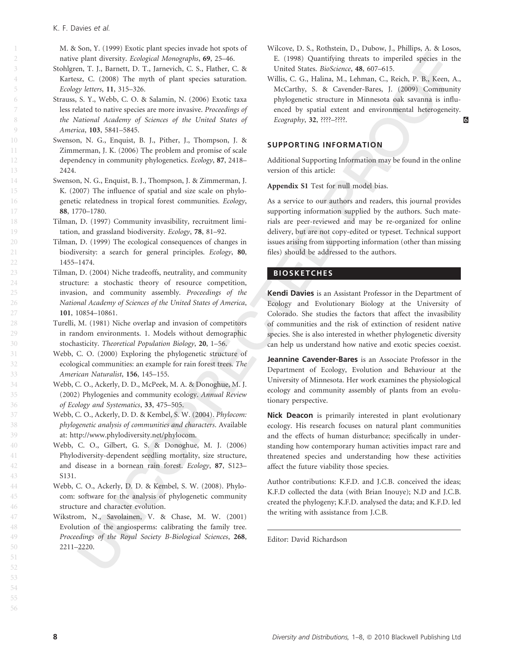M. & Son, Y. (1999) Exotic plant species invade hot spots of native plant diversity. Ecological Monographs, 69, 25–46.

- Stohlgren, T. J., Barnett, D. T., Jarnevich, C. S., Flather, C. & Kartesz, C. (2008) The myth of plant species saturation. Ecology letters, 11, 315–326.
- Strauss, S. Y., Webb, C. O. & Salamin, N. (2006) Exotic taxa less related to native species are more invasive. Proceedings of the National Academy of Sciences of the United States of America, 103, 5841–5845.
- Swenson, N. G., Enquist, B. J., Pither, J., Thompson, J. & Zimmerman, J. K. (2006) The problem and promise of scale dependency in community phylogenetics. Ecology, 87, 2418– 2424.
- Swenson, N. G., Enquist, B. J., Thompson, J. & Zimmerman, J. K. (2007) The influence of spatial and size scale on phylogenetic relatedness in tropical forest communities. Ecology, 88, 1770–1780.
- Tilman, D. (1997) Community invasibility, recruitment limitation, and grassland biodiversity. Ecology, 78, 81–92.
- Tilman, D. (1999) The ecological consequences of changes in biodiversity: a search for general principles. Ecology, 80, 1455–1474.
- Tilman, D. (2004) Niche tradeoffs, neutrality, and community structure: a stochastic theory of resource competition, invasion, and community assembly. Proceedings of the National Academy of Sciences of the United States of America, 101, 10854–10861.
- Turelli, M. (1981) Niche overlap and invasion of competitors in random environments. 1. Models without demographic stochasticity. Theoretical Population Biology, 20, 1–56.
- Webb, C. O. (2000) Exploring the phylogenetic structure of ecological communities: an example for rain forest trees. The American Naturalist, 156, 145–155.
- Webb, C. O., Ackerly, D. D., McPeek, M. A. & Donoghue, M. J. (2002) Phylogenies and community ecology. Annual Review of Ecology and Systematics, 33, 475–505.
- Webb, C. O., Ackerly, D. D. & Kembel, S. W. (2004). Phylocom: phylogenetic analysis of communities and characters. Available at: http://www.phylodiversity.net/phylocom.
- Webb, C. O., Gilbert, G. S. & Donoghue, M. J. (2006) Phylodiversity-dependent seedling mortality, size structure, and disease in a bornean rain forest. Ecology, 87, S123– S131.
- Webb, C. O., Ackerly, D. D. & Kembel, S. W. (2008). Phylocom: software for the analysis of phylogenetic community structure and character evolution.
- Wikstrom, N., Savolainen, V. & Chase, M. W. (2001) Evolution of the angiosperms: calibrating the family tree. Proceedings of the Royal Society B-Biological Sciences, 268, 2211–2220.
- Wilcove, D. S., Rothstein, D., Dubow, J., Phillips, A. & Losos, E. (1998) Quantifying threats to imperiled species in the United States. BioScience, 48, 607–615.
- Willis, C. G., Halina, M., Lehman, C., Reich, P. B., Keen, A., McCarthy, S. & Cavender-Bares, J. (2009) Community phylogenetic structure in Minnesota oak savanna is influenced by spatial extent and environmental heterogeneity. Ecography, 32, ????–????. **6**

# SUPPORTING INFORMATION

Additional Supporting Information may be found in the online version of this article:

Appendix S1 Test for null model bias.

As a service to our authors and readers, this journal provides supporting information supplied by the authors. Such materials are peer-reviewed and may be re-organized for online delivery, but are not copy-edited or typeset. Technical support issues arising from supporting information (other than missing files) should be addressed to the authors.

## BIOSKETCHES

Kendi Davies is an Assistant Professor in the Department of Ecology and Evolutionary Biology at the University of Colorado. She studies the factors that affect the invasibility of communities and the risk of extinction of resident native species. She is also interested in whether phylogenetic diversity can help us understand how native and exotic species coexist.

**Jeannine Cavender-Bares** is an Associate Professor in the Department of Ecology, Evolution and Behaviour at the University of Minnesota. Her work examines the physiological ecology and community assembly of plants from an evolutionary perspective.

Nick Deacon is primarily interested in plant evolutionary ecology. His research focuses on natural plant communities and the effects of human disturbance; specifically in understanding how contemporary human activities impact rare and threatened species and understanding how these activities affect the future viability those species.

Author contributions: K.F.D. and J.C.B. conceived the ideas; K.F.D collected the data (with Brian Inouye); N.D and J.C.B. created the phylogeny; K.F.D. analysed the data; and K.F.D. led the writing with assistance from J.C.B.

Editor: David Richardson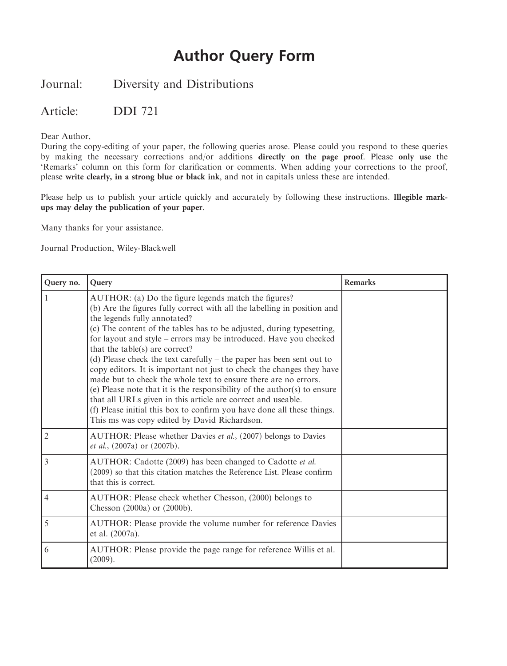# Author Query Form

Journal: Diversity and Distributions

Article: DDI 721

Dear Author,

During the copy-editing of your paper, the following queries arose. Please could you respond to these queries by making the necessary corrections and/or additions directly on the page proof. Please only use the 'Remarks' column on this form for clarification or comments. When adding your corrections to the proof, please write clearly, in a strong blue or black ink, and not in capitals unless these are intended.

Please help us to publish your article quickly and accurately by following these instructions. Illegible markups may delay the publication of your paper.

Many thanks for your assistance.

Journal Production, Wiley-Blackwell

| Query no.      | Query                                                                                                                                                                                                                                                                                                                                                                                                                                                                                                                                                                                                                                                                                                                                                                                                                                        | <b>Remarks</b> |
|----------------|----------------------------------------------------------------------------------------------------------------------------------------------------------------------------------------------------------------------------------------------------------------------------------------------------------------------------------------------------------------------------------------------------------------------------------------------------------------------------------------------------------------------------------------------------------------------------------------------------------------------------------------------------------------------------------------------------------------------------------------------------------------------------------------------------------------------------------------------|----------------|
| 1              | AUTHOR: (a) Do the figure legends match the figures?<br>(b) Are the figures fully correct with all the labelling in position and<br>the legends fully annotated?<br>(c) The content of the tables has to be adjusted, during typesetting,<br>for layout and style – errors may be introduced. Have you checked<br>that the table(s) are correct?<br>(d) Please check the text carefully $-$ the paper has been sent out to<br>copy editors. It is important not just to check the changes they have<br>made but to check the whole text to ensure there are no errors.<br>(e) Please note that it is the responsibility of the author(s) to ensure<br>that all URLs given in this article are correct and useable.<br>(f) Please initial this box to confirm you have done all these things.<br>This ms was copy edited by David Richardson. |                |
| $\overline{2}$ | AUTHOR: Please whether Davies et al., (2007) belongs to Davies<br>et al., (2007a) or (2007b).                                                                                                                                                                                                                                                                                                                                                                                                                                                                                                                                                                                                                                                                                                                                                |                |
| 3              | AUTHOR: Cadotte (2009) has been changed to Cadotte et al.<br>(2009) so that this citation matches the Reference List. Please confirm<br>that this is correct.                                                                                                                                                                                                                                                                                                                                                                                                                                                                                                                                                                                                                                                                                |                |
| $\overline{4}$ | AUTHOR: Please check whether Chesson, (2000) belongs to<br>Chesson (2000a) or (2000b).                                                                                                                                                                                                                                                                                                                                                                                                                                                                                                                                                                                                                                                                                                                                                       |                |
| 5              | AUTHOR: Please provide the volume number for reference Davies<br>et al. (2007a).                                                                                                                                                                                                                                                                                                                                                                                                                                                                                                                                                                                                                                                                                                                                                             |                |
| 6              | AUTHOR: Please provide the page range for reference Willis et al.<br>(2009).                                                                                                                                                                                                                                                                                                                                                                                                                                                                                                                                                                                                                                                                                                                                                                 |                |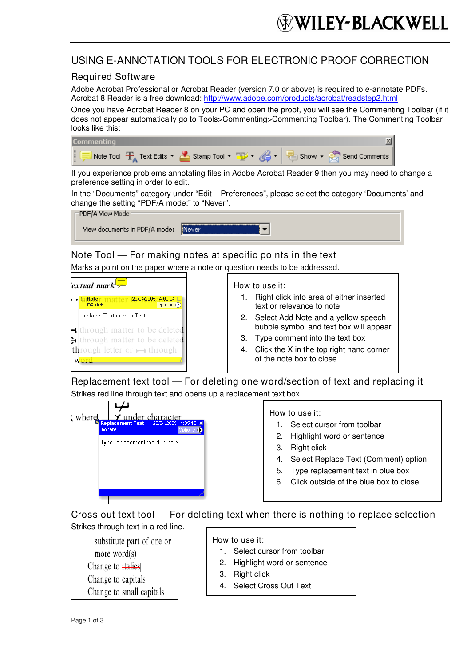# USING E-ANNOTATION TOOLS FOR ELECTRONIC PROOF CORRECTION

# Required Software

Adobe Acrobat Professional or Acrobat Reader (version 7.0 or above) is required to e-annotate PDFs. Acrobat 8 Reader is a free download:<http://www.adobe.com/products/acrobat/readstep2.html>

Once you have Acrobat Reader 8 on your PC and open the proof, you will see the Commenting Toolbar (if it does not appear automatically go to Tools>Commenting>Commenting Toolbar). The Commenting Toolbar looks like this:

| <b>Commenting</b> |  |  | 図                                                                                                                          |
|-------------------|--|--|----------------------------------------------------------------------------------------------------------------------------|
|                   |  |  | Display of the Tool T <sub>A</sub> Text Edits ▼ 2 Stamp Tool ▼ TV → C <sub>2</sub> + Bashow → C <sub>2</sub> Send Comments |

If you experience problems annotating files in Adobe Acrobat Reader 9 then you may need to change a preference setting in order to edit.

In the "Documents" category under "Edit – Preferences", please select the category 'Documents' and change the setting "PDF/A mode:" to "Never".



Note Tool — For making notes at specific points in the text

Marks a point on the paper where a note or question needs to be addressed.



# How to use it:

- 1. Right click into area of either inserted text or relevance to note
- 2. Select Add Note and a yellow speech bubble symbol and text box will appear
- 3. Type comment into the text box
- 4. Click the X in the top right hand corner of the note box to close.

Replacement text tool — For deleting one word/section of text and replacing it Strikes red line through text and opens up a replacement text box.



# How to use it:

- 1. Select cursor from toolbar
- 2. Highlight word or sentence
- 3. Right click
- 4. Select Replace Text (Comment) option
- 5. Type replacement text in blue box
- 6. Click outside of the blue box to close

Cross out text tool — For deleting text when there is nothing to replace selection Strikes through text in a red line.

substitute part of one or more word(s) Change to italies Change to capitals Change to small capitals

# How to use it:

- 1. Select cursor from toolbar
- 2. Highlight word or sentence
- 3. Right click
- 4. Select Cross Out Text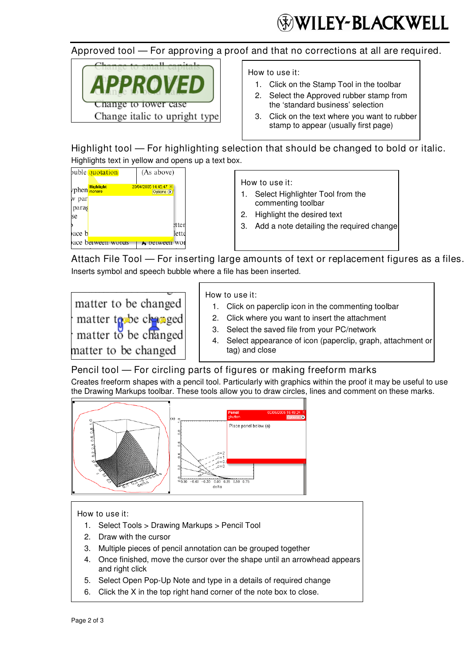

# Approved tool — For approving a proof and that no corrections at all are required.



How to use it:

- 1. Click on the Stamp Tool in the toolbar
- 2. Select the Approved rubber stamp from the 'standard business' selection
- 3. Click on the text where you want to rubber stamp to appear (usually first page)

Highlight tool — For highlighting selection that should be changed to bold or italic. Highlights text in yellow and opens up a text box.

|             | ouble quotation   | (As above)                           |
|-------------|-------------------|--------------------------------------|
|             |                   |                                      |
| phen mohare | <b>Highlight</b>  | 20/04/2005 14:45:47 X<br>Options (F) |
| par         |                   |                                      |
| parag<br>se |                   |                                      |
|             |                   |                                      |
|             |                   | etter                                |
| ace b       |                   | lette                                |
|             | ace between words | <b>A</b> Detween WOI                 |
|             |                   |                                      |

How to use it:

- 1. Select Highlighter Tool from the commenting toolbar
- 2. Highlight the desired text
- 3. Add a note detailing the required change

Attach File Tool — For inserting large amounts of text or replacement figures as a files. Inserts symbol and speech bubble where a file has been inserted.



How to use it:

- 1. Click on paperclip icon in the commenting toolbar
- 2. Click where you want to insert the attachment
- 3. Select the saved file from your PC/network
- 4. Select appearance of icon (paperclip, graph, attachment or tag) and close

Pencil tool — For circling parts of figures or making freeform marks Creates freeform shapes with a pencil tool. Particularly with graphics within the proof it may be useful to use the Drawing Markups toolbar. These tools allow you to draw circles, lines and comment on these marks.



How to use it:

- 1. Select Tools > Drawing Markups > Pencil Tool
- 2. Draw with the cursor
- 3. Multiple pieces of pencil annotation can be grouped together
- 4. Once finished, move the cursor over the shape until an arrowhead appears and right click
- 5. Select Open Pop-Up Note and type in a details of required change
- 6. Click the X in the top right hand corner of the note box to close.